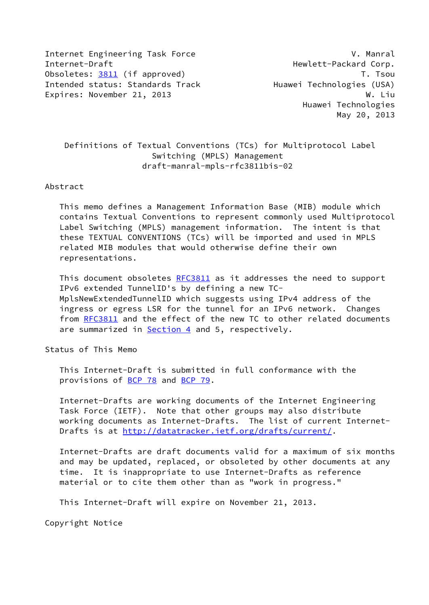Internet Engineering Task Force V. Manral Internet-Draft **Hewlett-Packard Corp.** Obsoletes: [3811](https://datatracker.ietf.org/doc/pdf/rfc3811) (if approved) T. Tsou Intended status: Standards Track Huawei Technologies (USA) Expires: November 21, 2013 M. Liu

 Huawei Technologies May 20, 2013

 Definitions of Textual Conventions (TCs) for Multiprotocol Label Switching (MPLS) Management draft-manral-mpls-rfc3811bis-02

## Abstract

 This memo defines a Management Information Base (MIB) module which contains Textual Conventions to represent commonly used Multiprotocol Label Switching (MPLS) management information. The intent is that these TEXTUAL CONVENTIONS (TCs) will be imported and used in MPLS related MIB modules that would otherwise define their own representations.

This document obsoletes [RFC3811](https://datatracker.ietf.org/doc/pdf/rfc3811) as it addresses the need to support IPv6 extended TunnelID's by defining a new TC- MplsNewExtendedTunnelID which suggests using IPv4 address of the ingress or egress LSR for the tunnel for an IPv6 network. Changes from [RFC3811](https://datatracker.ietf.org/doc/pdf/rfc3811) and the effect of the new TC to other related documents are summarized in [Section 4](#page-17-0) and 5, respectively.

Status of This Memo

 This Internet-Draft is submitted in full conformance with the provisions of [BCP 78](https://datatracker.ietf.org/doc/pdf/bcp78) and [BCP 79](https://datatracker.ietf.org/doc/pdf/bcp79).

 Internet-Drafts are working documents of the Internet Engineering Task Force (IETF). Note that other groups may also distribute working documents as Internet-Drafts. The list of current Internet- Drafts is at<http://datatracker.ietf.org/drafts/current/>.

 Internet-Drafts are draft documents valid for a maximum of six months and may be updated, replaced, or obsoleted by other documents at any time. It is inappropriate to use Internet-Drafts as reference material or to cite them other than as "work in progress."

This Internet-Draft will expire on November 21, 2013.

Copyright Notice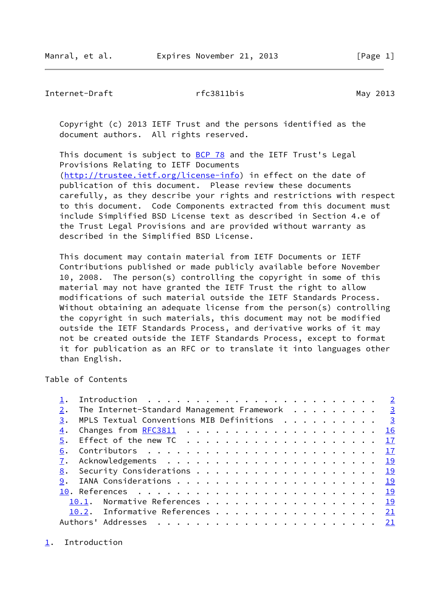<span id="page-1-1"></span>Internet-Draft rfc3811bis May 2013

 Copyright (c) 2013 IETF Trust and the persons identified as the document authors. All rights reserved.

This document is subject to [BCP 78](https://datatracker.ietf.org/doc/pdf/bcp78) and the IETF Trust's Legal Provisions Relating to IETF Documents [\(http://trustee.ietf.org/license-info](http://trustee.ietf.org/license-info)) in effect on the date of publication of this document. Please review these documents carefully, as they describe your rights and restrictions with respect to this document. Code Components extracted from this document must include Simplified BSD License text as described in Section 4.e of the Trust Legal Provisions and are provided without warranty as described in the Simplified BSD License.

 This document may contain material from IETF Documents or IETF Contributions published or made publicly available before November 10, 2008. The person(s) controlling the copyright in some of this material may not have granted the IETF Trust the right to allow modifications of such material outside the IETF Standards Process. Without obtaining an adequate license from the person(s) controlling the copyright in such materials, this document may not be modified outside the IETF Standards Process, and derivative works of it may not be created outside the IETF Standards Process, except to format it for publication as an RFC or to translate it into languages other than English.

Table of Contents

|    | The Internet-Standard Management Framework 3                                               |  |
|----|--------------------------------------------------------------------------------------------|--|
| 3. | MPLS Textual Conventions MIB Definitions $\cdots$ $\cdots$ $\cdots$ $\cdots$ $\frac{3}{2}$ |  |
| 4. |                                                                                            |  |
|    |                                                                                            |  |
| 6. |                                                                                            |  |
| 7. |                                                                                            |  |
|    | <u>8</u> . Security Considerations <u>19</u>                                               |  |
|    |                                                                                            |  |
|    |                                                                                            |  |
|    | 10.1. Normative References 19                                                              |  |
|    | 10.2. Informative References 21                                                            |  |
|    | Authors'                                                                                   |  |

<span id="page-1-0"></span>[1](#page-1-0). Introduction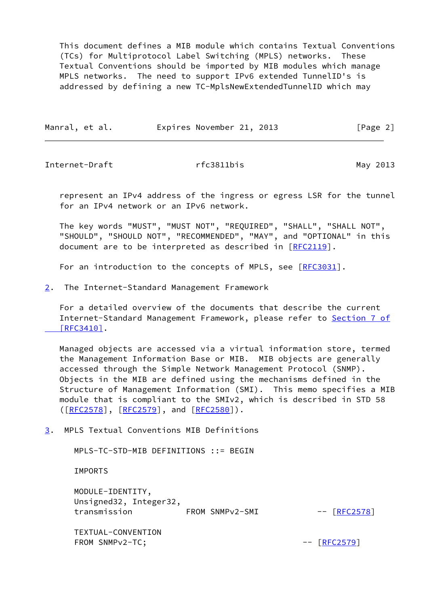This document defines a MIB module which contains Textual Conventions (TCs) for Multiprotocol Label Switching (MPLS) networks. These Textual Conventions should be imported by MIB modules which manage MPLS networks. The need to support IPv6 extended TunnelID's is addressed by defining a new TC-MplsNewExtendedTunnelID which may

| Manral, et al. | Expires November 21, 2013 |  | [Page 2] |  |
|----------------|---------------------------|--|----------|--|
|                |                           |  |          |  |

<span id="page-2-1"></span>Internet-Draft **rfc3811bis** rfom May 2013

 represent an IPv4 address of the ingress or egress LSR for the tunnel for an IPv4 network or an IPv6 network.

 The key words "MUST", "MUST NOT", "REQUIRED", "SHALL", "SHALL NOT", "SHOULD", "SHOULD NOT", "RECOMMENDED", "MAY", and "OPTIONAL" in this document are to be interpreted as described in [\[RFC2119](https://datatracker.ietf.org/doc/pdf/rfc2119)].

For an introduction to the concepts of MPLS, see [\[RFC3031](https://datatracker.ietf.org/doc/pdf/rfc3031)].

<span id="page-2-0"></span>[2](#page-2-0). The Internet-Standard Management Framework

 For a detailed overview of the documents that describe the current Internet-Standard Management Framework, please refer to [Section](https://datatracker.ietf.org/doc/pdf/rfc3410#section-7) 7 of  [\[RFC3410\]](https://datatracker.ietf.org/doc/pdf/rfc3410#section-7).

 Managed objects are accessed via a virtual information store, termed the Management Information Base or MIB. MIB objects are generally accessed through the Simple Network Management Protocol (SNMP). Objects in the MIB are defined using the mechanisms defined in the Structure of Management Information (SMI). This memo specifies a MIB module that is compliant to the SMIv2, which is described in STD 58 ([\[RFC2578](https://datatracker.ietf.org/doc/pdf/rfc2578)], [\[RFC2579](https://datatracker.ietf.org/doc/pdf/rfc2579)], and [[RFC2580\]](https://datatracker.ietf.org/doc/pdf/rfc2580)).

<span id="page-2-2"></span>[3](#page-2-2). MPLS Textual Conventions MIB Definitions

MPLS-TC-STD-MIB DEFINITIONS ::= BEGIN

IMPORTS

 MODULE-IDENTITY, Unsigned32, Integer32, transmission FROM SNMPv2-SMI -- [\[RFC2578](https://datatracker.ietf.org/doc/pdf/rfc2578)]

 TEXTUAL-CONVENTION FROM SNMPv2-TC;  $-$  [\[RFC2579](https://datatracker.ietf.org/doc/pdf/rfc2579)]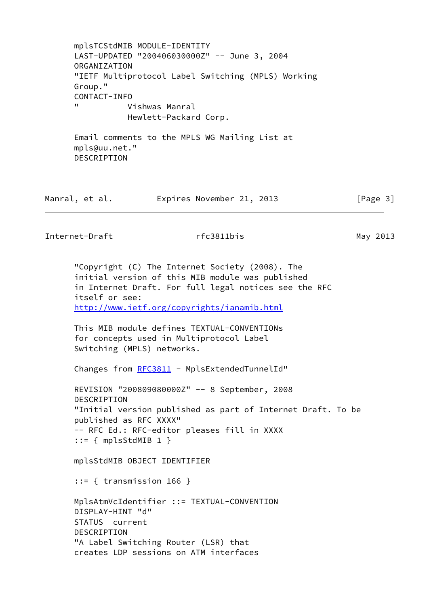mplsTCStdMIB MODULE-IDENTITY LAST-UPDATED "200406030000Z" -- June 3, 2004 ORGANIZATION "IETF Multiprotocol Label Switching (MPLS) Working Group." CONTACT-INFO Vishwas Manral Hewlett-Packard Corp. Email comments to the MPLS WG Mailing List at mpls@uu.net." DESCRIPTION

| Manral, et al. |  | Expires November 21, 2013 |  |  | [Page 3] |  |
|----------------|--|---------------------------|--|--|----------|--|
|----------------|--|---------------------------|--|--|----------|--|

Internet-Draft rfc3811bis May 2013

 "Copyright (C) The Internet Society (2008). The initial version of this MIB module was published in Internet Draft. For full legal notices see the RFC itself or see: <http://www.ietf.org/copyrights/ianamib.html>

 This MIB module defines TEXTUAL-CONVENTIONs for concepts used in Multiprotocol Label Switching (MPLS) networks.

Changes from [RFC3811](https://datatracker.ietf.org/doc/pdf/rfc3811) - MplsExtendedTunnelId"

 REVISION "200809080000Z" -- 8 September, 2008 DESCRIPTION "Initial version published as part of Internet Draft. To be published as RFC XXXX" -- RFC Ed.: RFC-editor pleases fill in XXXX  $::= \{ mplsStdMIB 1 \}$ 

mplsStdMIB OBJECT IDENTIFIER

::= { transmission 166 }

 MplsAtmVcIdentifier ::= TEXTUAL-CONVENTION DISPLAY-HINT "d" STATUS current DESCRIPTION "A Label Switching Router (LSR) that creates LDP sessions on ATM interfaces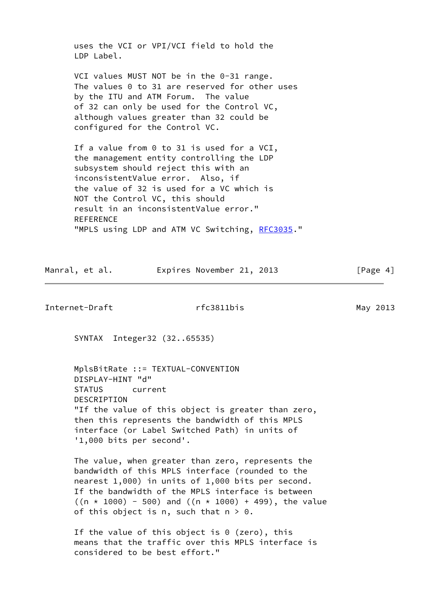uses the VCI or VPI/VCI field to hold the LDP Label.

 VCI values MUST NOT be in the 0-31 range. The values 0 to 31 are reserved for other uses by the ITU and ATM Forum. The value of 32 can only be used for the Control VC, although values greater than 32 could be configured for the Control VC.

If a value from 0 to 31 is used for a VCI, the management entity controlling the LDP subsystem should reject this with an inconsistentValue error. Also, if the value of 32 is used for a VC which is NOT the Control VC, this should result in an inconsistentValue error." REFERENCE "MPLS using LDP and ATM VC Switching, [RFC3035](https://datatracker.ietf.org/doc/pdf/rfc3035)."

| Manral, et al. |  | Expires November 21, 2013 | [Page 4] |
|----------------|--|---------------------------|----------|
|                |  |                           |          |

Internet-Draft rfc3811bis May 2013

SYNTAX Integer32 (32..65535)

 MplsBitRate ::= TEXTUAL-CONVENTION DISPLAY-HINT "d" STATUS current DESCRIPTION "If the value of this object is greater than zero, then this represents the bandwidth of this MPLS interface (or Label Switched Path) in units of '1,000 bits per second'.

 The value, when greater than zero, represents the bandwidth of this MPLS interface (rounded to the nearest 1,000) in units of 1,000 bits per second. If the bandwidth of the MPLS interface is between  $((n * 1000) - 500)$  and  $((n * 1000) + 499)$ , the value of this object is n, such that  $n > 0$ .

If the value of this object is  $0$  (zero), this means that the traffic over this MPLS interface is considered to be best effort."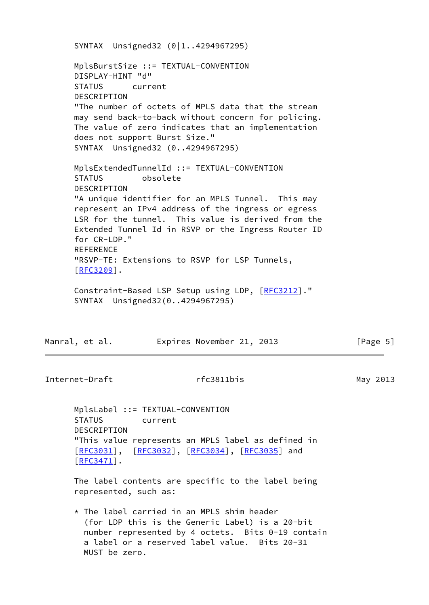SYNTAX Unsigned32 (0|1..4294967295) MplsBurstSize ::= TEXTUAL-CONVENTION DISPLAY-HINT "d" STATUS current DESCRIPTION "The number of octets of MPLS data that the stream may send back-to-back without concern for policing. The value of zero indicates that an implementation does not support Burst Size." SYNTAX Unsigned32 (0..4294967295) MplsExtendedTunnelId ::= TEXTUAL-CONVENTION STATUS obsolete DESCRIPTION "A unique identifier for an MPLS Tunnel. This may represent an IPv4 address of the ingress or egress LSR for the tunnel. This value is derived from the Extended Tunnel Id in RSVP or the Ingress Router ID for CR-LDP." REFERENCE "RSVP-TE: Extensions to RSVP for LSP Tunnels, [[RFC3209\]](https://datatracker.ietf.org/doc/pdf/rfc3209). Constraint-Based LSP Setup using LDP, [\[RFC3212](https://datatracker.ietf.org/doc/pdf/rfc3212)]." SYNTAX Unsigned32(0..4294967295)

| Manral, et al. | Expires November 21, 2013 | [Page 5] |
|----------------|---------------------------|----------|
|----------------|---------------------------|----------|

Internet-Draft rfc3811bis May 2013

 MplsLabel ::= TEXTUAL-CONVENTION STATUS current DESCRIPTION "This value represents an MPLS label as defined in [[RFC3031\]](https://datatracker.ietf.org/doc/pdf/rfc3031), [\[RFC3032](https://datatracker.ietf.org/doc/pdf/rfc3032)], [[RFC3034](https://datatracker.ietf.org/doc/pdf/rfc3034)], [\[RFC3035](https://datatracker.ietf.org/doc/pdf/rfc3035)] and [[RFC3471\]](https://datatracker.ietf.org/doc/pdf/rfc3471).

 The label contents are specific to the label being represented, such as:

 $*$  The label carried in an MPLS shim header (for LDP this is the Generic Label) is a 20-bit number represented by 4 octets. Bits 0-19 contain a label or a reserved label value. Bits 20-31 MUST be zero.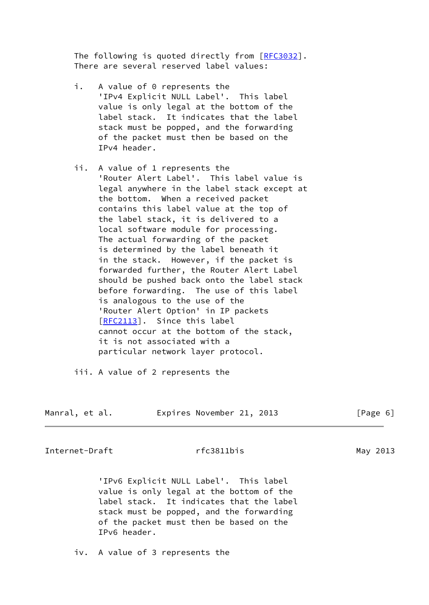The following is quoted directly from [\[RFC3032](https://datatracker.ietf.org/doc/pdf/rfc3032)]. There are several reserved label values:

- i. A value of 0 represents the 'IPv4 Explicit NULL Label'. This label value is only legal at the bottom of the label stack. It indicates that the label stack must be popped, and the forwarding of the packet must then be based on the IPv4 header.
- ii. A value of 1 represents the 'Router Alert Label'. This label value is legal anywhere in the label stack except at the bottom. When a received packet contains this label value at the top of the label stack, it is delivered to a local software module for processing. The actual forwarding of the packet is determined by the label beneath it in the stack. However, if the packet is forwarded further, the Router Alert Label should be pushed back onto the label stack before forwarding. The use of this label is analogous to the use of the 'Router Alert Option' in IP packets [\[RFC2113](https://datatracker.ietf.org/doc/pdf/rfc2113)]. Since this label cannot occur at the bottom of the stack, it is not associated with a particular network layer protocol.
- iii. A value of 2 represents the

| Manral, et al. |  | Expires November 21, 2013 |  |  |
|----------------|--|---------------------------|--|--|
|----------------|--|---------------------------|--|--|

 $[Page 6]$ 

Internet-Draft rfc3811bis May 2013

 'IPv6 Explicit NULL Label'. This label value is only legal at the bottom of the label stack. It indicates that the label stack must be popped, and the forwarding of the packet must then be based on the IPv6 header.

iv. A value of 3 represents the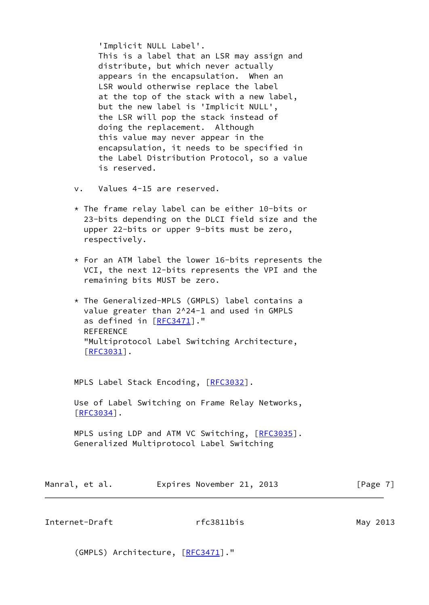'Implicit NULL Label'. This is a label that an LSR may assign and distribute, but which never actually appears in the encapsulation. When an LSR would otherwise replace the label at the top of the stack with a new label, but the new label is 'Implicit NULL', the LSR will pop the stack instead of doing the replacement. Although this value may never appear in the encapsulation, it needs to be specified in the Label Distribution Protocol, so a value is reserved.

- v. Values 4-15 are reserved.
- $*$  The frame relay label can be either 10-bits or 23-bits depending on the DLCI field size and the upper 22-bits or upper 9-bits must be zero, respectively.
- \* For an ATM label the lower 16-bits represents the VCI, the next 12-bits represents the VPI and the remaining bits MUST be zero.
- \* The Generalized-MPLS (GMPLS) label contains a value greater than 2^24-1 and used in GMPLS as defined in [[RFC3471\]](https://datatracker.ietf.org/doc/pdf/rfc3471)." REFERENCE "Multiprotocol Label Switching Architecture, [\[RFC3031](https://datatracker.ietf.org/doc/pdf/rfc3031)].

MPLS Label Stack Encoding, [[RFC3032](https://datatracker.ietf.org/doc/pdf/rfc3032)].

 Use of Label Switching on Frame Relay Networks, [[RFC3034\]](https://datatracker.ietf.org/doc/pdf/rfc3034).

MPLS using LDP and ATM VC Switching, [\[RFC3035](https://datatracker.ietf.org/doc/pdf/rfc3035)]. Generalized Multiprotocol Label Switching

| Manral, et al. | Expires November 21, 2013 |  |  | [Page 7] |  |
|----------------|---------------------------|--|--|----------|--|
|----------------|---------------------------|--|--|----------|--|

Internet-Draft **rfc3811bis** rfom May 2013

(GMPLS) Architecture, [\[RFC3471](https://datatracker.ietf.org/doc/pdf/rfc3471)]."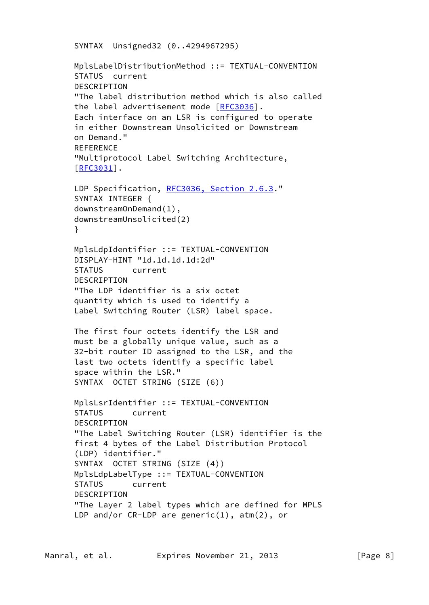```
 SYNTAX Unsigned32 (0..4294967295)
```
 MplsLabelDistributionMethod ::= TEXTUAL-CONVENTION STATUS current DESCRIPTION "The label distribution method which is also called the label advertisement mode [\[RFC3036](https://datatracker.ietf.org/doc/pdf/rfc3036)]. Each interface on an LSR is configured to operate in either Downstream Unsolicited or Downstream on Demand." **REFERENCE**  "Multiprotocol Label Switching Architecture, [[RFC3031\]](https://datatracker.ietf.org/doc/pdf/rfc3031). LDP Specification, [RFC3036, Section](https://datatracker.ietf.org/doc/pdf/rfc3036#section-2.6.3) 2.6.3." SYNTAX INTEGER { downstreamOnDemand(1), downstreamUnsolicited(2) } MplsLdpIdentifier ::= TEXTUAL-CONVENTION DISPLAY-HINT "1d.1d.1d.1d:2d" STATUS current DESCRIPTION "The LDP identifier is a six octet quantity which is used to identify a Label Switching Router (LSR) label space. The first four octets identify the LSR and must be a globally unique value, such as a 32-bit router ID assigned to the LSR, and the last two octets identify a specific label space within the LSR." SYNTAX OCTET STRING (SIZE (6)) MplsLsrIdentifier ::= TEXTUAL-CONVENTION STATUS current DESCRIPTION "The Label Switching Router (LSR) identifier is the first 4 bytes of the Label Distribution Protocol (LDP) identifier." SYNTAX OCTET STRING (SIZE (4)) MplsLdpLabelType ::= TEXTUAL-CONVENTION STATUS current **DESCRIPTION**  "The Layer 2 label types which are defined for MPLS LDP and/or CR-LDP are generic(1), atm(2), or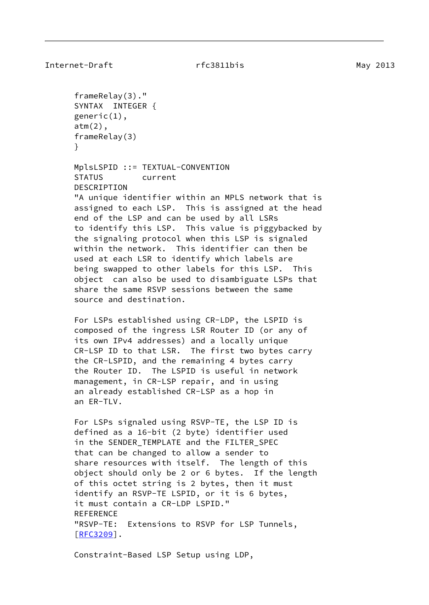```
Internet-Draft rfc3811bis rfc3811bis May 2013
```

```
 frameRelay(3)."
 SYNTAX INTEGER {
 generic(1),
 atm(2),
 frameRelay(3)
 }
 MplsLSPID ::= TEXTUAL-CONVENTION
 STATUS current
 DESCRIPTION
 "A unique identifier within an MPLS network that is
 assigned to each LSP. This is assigned at the head
 end of the LSP and can be used by all LSRs
 to identify this LSP. This value is piggybacked by
 the signaling protocol when this LSP is signaled
 within the network. This identifier can then be
 used at each LSR to identify which labels are
 being swapped to other labels for this LSP. This
 object can also be used to disambiguate LSPs that
 share the same RSVP sessions between the same
 source and destination.
 For LSPs established using CR-LDP, the LSPID is
 composed of the ingress LSR Router ID (or any of
 its own IPv4 addresses) and a locally unique
 CR-LSP ID to that LSR. The first two bytes carry
 the CR-LSPID, and the remaining 4 bytes carry
 the Router ID. The LSPID is useful in network
 management, in CR-LSP repair, and in using
 an already established CR-LSP as a hop in
 an ER-TLV.
 For LSPs signaled using RSVP-TE, the LSP ID is
 defined as a 16-bit (2 byte) identifier used
 in the SENDER_TEMPLATE and the FILTER_SPEC
 that can be changed to allow a sender to
 share resources with itself. The length of this
 object should only be 2 or 6 bytes. If the length
 of this octet string is 2 bytes, then it must
 identify an RSVP-TE LSPID, or it is 6 bytes,
 it must contain a CR-LDP LSPID."
 REFERENCE
 "RSVP-TE: Extensions to RSVP for LSP Tunnels,
 [RFC3209].
```
Constraint-Based LSP Setup using LDP,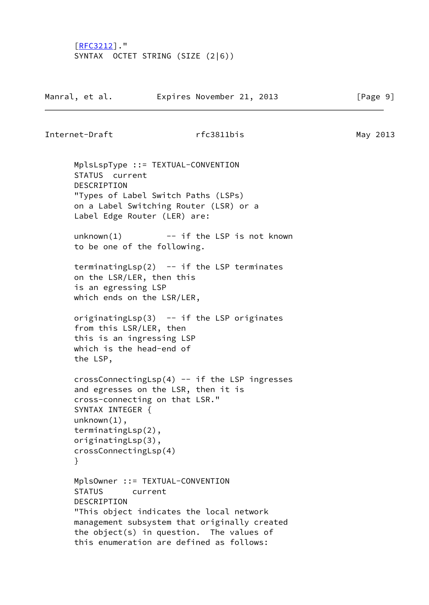[[RFC3212\]](https://datatracker.ietf.org/doc/pdf/rfc3212)." SYNTAX OCTET STRING (SIZE (2|6))

| Manral, et al. | Expires November 21, 2013 |  | [Page 9] |  |
|----------------|---------------------------|--|----------|--|
|                |                           |  |          |  |

Internet-Draft rfc3811bis May 2013

 MplsLspType ::= TEXTUAL-CONVENTION STATUS current DESCRIPTION "Types of Label Switch Paths (LSPs) on a Label Switching Router (LSR) or a Label Edge Router (LER) are:  $unknown(1)$  -- if the LSP is not known to be one of the following. terminatingLsp $(2)$  -- if the LSP terminates on the LSR/LER, then this is an egressing LSP which ends on the LSR/LER, originatingLsp $(3)$  -- if the LSP originates from this LSR/LER, then this is an ingressing LSP which is the head-end of the LSP, crossConnectingLsp(4) -- if the LSP ingresses and egresses on the LSR, then it is cross-connecting on that LSR." SYNTAX INTEGER { unknown(1), terminatingLsp(2), originatingLsp(3), crossConnectingLsp(4) } MplsOwner ::= TEXTUAL-CONVENTION STATUS current DESCRIPTION "This object indicates the local network management subsystem that originally created the object(s) in question. The values of

this enumeration are defined as follows: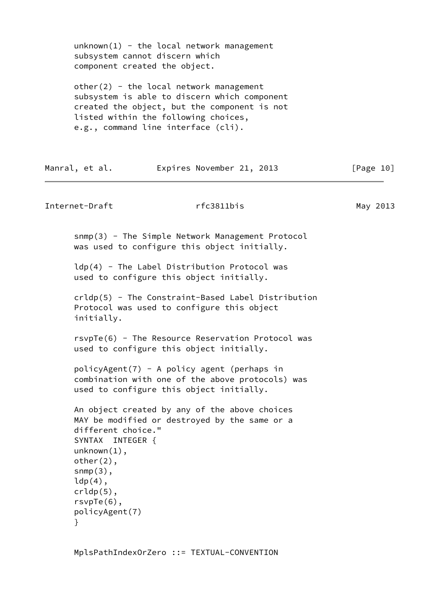$unknown(1)$  - the local network management subsystem cannot discern which component created the object.

other(2) - the local network management subsystem is able to discern which component created the object, but the component is not listed within the following choices, e.g., command line interface (cli).

| Manral, et al. | Expires November 21, 2013 | [Page 10] |
|----------------|---------------------------|-----------|
|----------------|---------------------------|-----------|

```
Internet-Draft rfc3811bis May 2013
```
snmp(3) - The Simple Network Management Protocol was used to configure this object initially.

 ldp(4) - The Label Distribution Protocol was used to configure this object initially.

```
 crldp(5) - The Constraint-Based Label Distribution
 Protocol was used to configure this object
 initially.
```
 rsvpTe(6) - The Resource Reservation Protocol was used to configure this object initially.

```
 policyAgent(7) - A policy agent (perhaps in
 combination with one of the above protocols) was
 used to configure this object initially.
```

```
 An object created by any of the above choices
 MAY be modified or destroyed by the same or a
 different choice."
 SYNTAX INTEGER {
 unknown(1),
 other(2),
snmp(3),
ldp(4),
 crldp(5),
 rsvpTe(6),
 policyAgent(7)
 }
```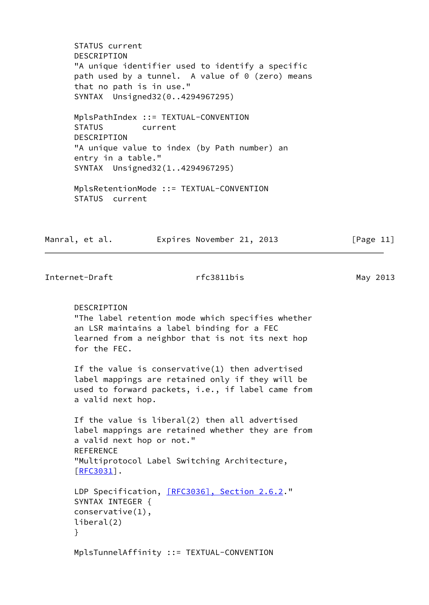STATUS current DESCRIPTION "A unique identifier used to identify a specific path used by a tunnel. A value of 0 (zero) means that no path is in use." SYNTAX Unsigned32(0..4294967295)

 MplsPathIndex ::= TEXTUAL-CONVENTION STATUS current **DESCRIPTION**  "A unique value to index (by Path number) an entry in a table." SYNTAX Unsigned32(1..4294967295)

 MplsRetentionMode ::= TEXTUAL-CONVENTION STATUS current

Manral, et al. **Expires November 21, 2013** [Page 11]

Internet-Draft rfc3811bis May 2013

 DESCRIPTION "The label retention mode which specifies whether an LSR maintains a label binding for a FEC learned from a neighbor that is not its next hop for the FEC.

 If the value is conservative(1) then advertised label mappings are retained only if they will be used to forward packets, i.e., if label came from a valid next hop.

 If the value is liberal(2) then all advertised label mappings are retained whether they are from a valid next hop or not." **REFERENCE**  "Multiprotocol Label Switching Architecture, [[RFC3031\]](https://datatracker.ietf.org/doc/pdf/rfc3031).

```
 [RFC3036], Section 2.6.2."
 SYNTAX INTEGER {
 conservative(1),
 liberal(2)
 }
```
MplsTunnelAffinity ::= TEXTUAL-CONVENTION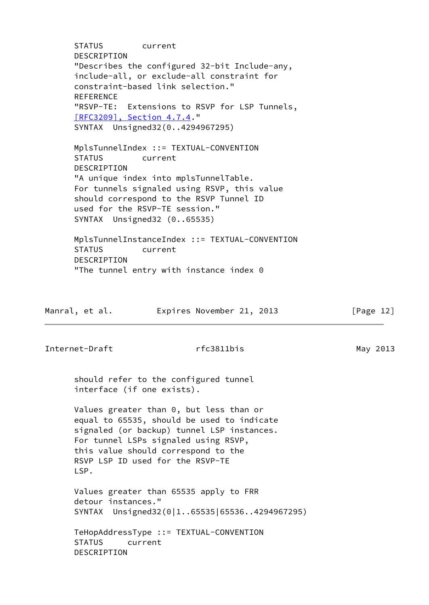STATUS current DESCRIPTION "Describes the configured 32-bit Include-any, include-all, or exclude-all constraint for constraint-based link selection." REFERENCE "RSVP-TE: Extensions to RSVP for LSP Tunnels, [\[RFC3209\], Section](https://datatracker.ietf.org/doc/pdf/rfc3209#section-4.7.4) 4.7.4." SYNTAX Unsigned32(0..4294967295) MplsTunnelIndex ::= TEXTUAL-CONVENTION STATUS current DESCRIPTION "A unique index into mplsTunnelTable. For tunnels signaled using RSVP, this value should correspond to the RSVP Tunnel ID used for the RSVP-TE session." SYNTAX Unsigned32 (0..65535) MplsTunnelInstanceIndex ::= TEXTUAL-CONVENTION STATUS current DESCRIPTION "The tunnel entry with instance index 0 Manral, et al. **Expires November 21, 2013** [Page 12] Internet-Draft rfc3811bis May 2013 should refer to the configured tunnel interface (if one exists). Values greater than 0, but less than or equal to 65535, should be used to indicate signaled (or backup) tunnel LSP instances. For tunnel LSPs signaled using RSVP, this value should correspond to the RSVP LSP ID used for the RSVP-TE LSP. Values greater than 65535 apply to FRR detour instances." SYNTAX Unsigned32(0|1..65535|65536..4294967295)

 TeHopAddressType ::= TEXTUAL-CONVENTION STATUS current DESCRIPTION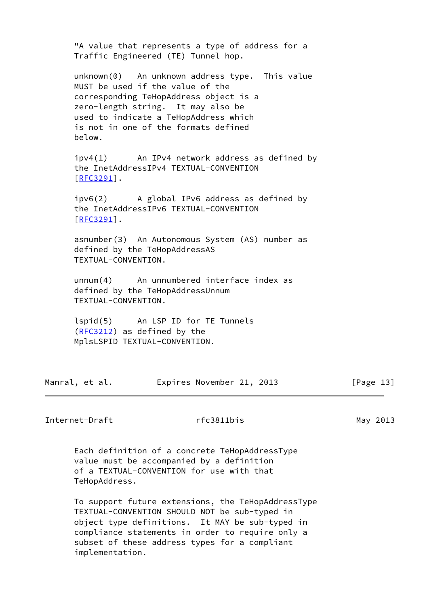|                                                                | "A value that represents a type of address for a<br>Traffic Engineered (TE) Tunnel hop.                                                                                                                                                             |           |
|----------------------------------------------------------------|-----------------------------------------------------------------------------------------------------------------------------------------------------------------------------------------------------------------------------------------------------|-----------|
| below.                                                         | unknown(0) An unknown address type. This value<br>MUST be used if the value of the<br>corresponding TeHopAddress object is a<br>zero-length string. It may also be<br>used to indicate a TeHopAddress which<br>is not in one of the formats defined |           |
| $[REC3291]$ .                                                  | $ipv4(1)$ An IPv4 network address as defined by<br>the InetAddressIPv4 TEXTUAL-CONVENTION                                                                                                                                                           |           |
| $[REC3291]$ .                                                  | $ipv6(2)$ A global IPv6 address as defined by<br>the InetAddressIPv6 TEXTUAL-CONVENTION                                                                                                                                                             |           |
| defined by the TeHopAddressAS<br>TEXTUAL-CONVENTION.           | asnumber(3) An Autonomous System (AS) number as                                                                                                                                                                                                     |           |
| TEXTUAL-CONVENTION.                                            | $unnum(4)$ An unnumbered interface index as<br>defined by the TeHopAddressUnnum                                                                                                                                                                     |           |
| $(RFC3212)$ as defined by the<br>MplsLSPID TEXTUAL-CONVENTION. | lspid(5) An LSP ID for TE Tunnels                                                                                                                                                                                                                   |           |
| Manral, et al.                                                 | Expires November 21, 2013                                                                                                                                                                                                                           | [Page 13] |

Internet-Draft rfc3811bis May 2013

 Each definition of a concrete TeHopAddressType value must be accompanied by a definition of a TEXTUAL-CONVENTION for use with that TeHopAddress.

 To support future extensions, the TeHopAddressType TEXTUAL-CONVENTION SHOULD NOT be sub-typed in object type definitions. It MAY be sub-typed in compliance statements in order to require only a subset of these address types for a compliant implementation.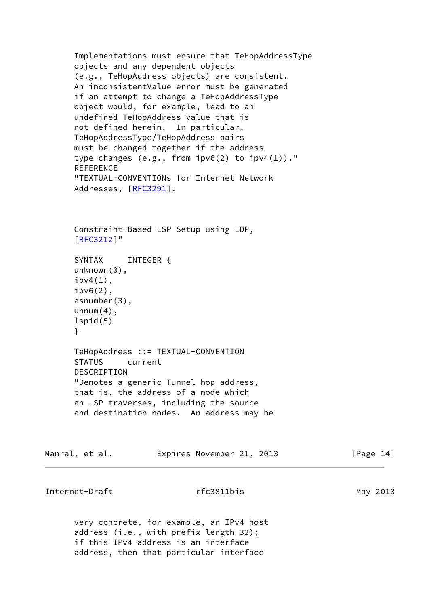```
 Implementations must ensure that TeHopAddressType
       objects and any dependent objects
       (e.g., TeHopAddress objects) are consistent.
       An inconsistentValue error must be generated
       if an attempt to change a TeHopAddressType
       object would, for example, lead to an
       undefined TeHopAddress value that is
       not defined herein. In particular,
       TeHopAddressType/TeHopAddress pairs
       must be changed together if the address
       type changes (e.g., from ipv6(2) to ipv4(1))."
       REFERENCE
       "TEXTUAL-CONVENTIONs for Internet Network
      RFC3291].
       Constraint-Based LSP Setup using LDP,
       [RFC3212]"
      SYNTAX INTEGER {
      unknown(0),
      ipv4(1),
       ipv6(2),
       asnumber(3),
      unnum(4),
       lspid(5)
       }
      TeHopAddress ::= TEXTUAL-CONVENTION
       STATUS current
       DESCRIPTION
       "Denotes a generic Tunnel hop address,
       that is, the address of a node which
       an LSP traverses, including the source
       and destination nodes. An address may be
Manral, et al. Expires November 21, 2013 [Page 14]
```
Internet-Draft **rfc3811bis** rfc3811bis May 2013

 very concrete, for example, an IPv4 host address (i.e., with prefix length 32); if this IPv4 address is an interface address, then that particular interface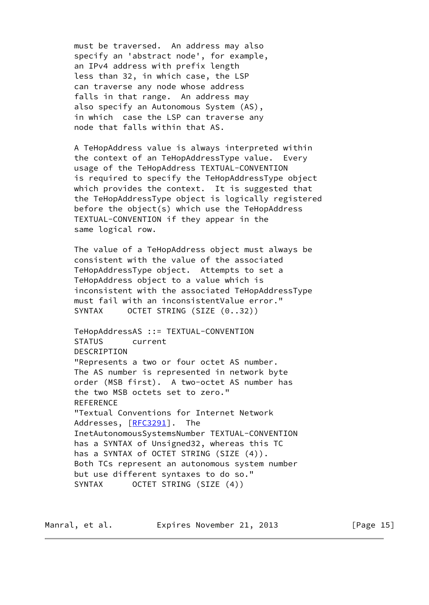must be traversed. An address may also specify an 'abstract node', for example, an IPv4 address with prefix length less than 32, in which case, the LSP can traverse any node whose address falls in that range. An address may also specify an Autonomous System (AS), in which case the LSP can traverse any node that falls within that AS.

 A TeHopAddress value is always interpreted within the context of an TeHopAddressType value. Every usage of the TeHopAddress TEXTUAL-CONVENTION is required to specify the TeHopAddressType object which provides the context. It is suggested that the TeHopAddressType object is logically registered before the object(s) which use the TeHopAddress TEXTUAL-CONVENTION if they appear in the same logical row.

 The value of a TeHopAddress object must always be consistent with the value of the associated TeHopAddressType object. Attempts to set a TeHopAddress object to a value which is inconsistent with the associated TeHopAddressType must fail with an inconsistentValue error." SYNTAX OCTET STRING (SIZE  $(0..32)$ )

 TeHopAddressAS ::= TEXTUAL-CONVENTION STATUS current DESCRIPTION "Represents a two or four octet AS number. The AS number is represented in network byte order (MSB first). A two-octet AS number has the two MSB octets set to zero." **REFERENCE**  "Textual Conventions for Internet Network Addresses, [[RFC3291](https://datatracker.ietf.org/doc/pdf/rfc3291)]. The InetAutonomousSystemsNumber TEXTUAL-CONVENTION has a SYNTAX of Unsigned32, whereas this TC has a SYNTAX of OCTET STRING (SIZE (4)). Both TCs represent an autonomous system number but use different syntaxes to do so." SYNTAX OCTET STRING (SIZE (4))

Manral, et al. **Expires November 21, 2013** [Page 15]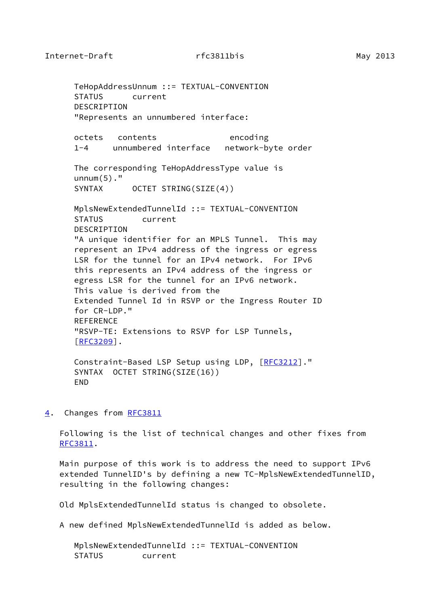<span id="page-17-1"></span> TeHopAddressUnnum ::= TEXTUAL-CONVENTION STATUS current DESCRIPTION "Represents an unnumbered interface: octets contents encoding 1-4 unnumbered interface network-byte order The corresponding TeHopAddressType value is  $unnum(5)$ ." SYNTAX OCTET STRING(SIZE(4)) MplsNewExtendedTunnelId ::= TEXTUAL-CONVENTION STATUS current DESCRIPTION "A unique identifier for an MPLS Tunnel. This may represent an IPv4 address of the ingress or egress LSR for the tunnel for an IPv4 network. For IPv6 this represents an IPv4 address of the ingress or egress LSR for the tunnel for an IPv6 network. This value is derived from the Extended Tunnel Id in RSVP or the Ingress Router ID for CR-LDP." REFERENCE "RSVP-TE: Extensions to RSVP for LSP Tunnels, [[RFC3209\]](https://datatracker.ietf.org/doc/pdf/rfc3209). Constraint-Based LSP Setup using LDP, [\[RFC3212](https://datatracker.ietf.org/doc/pdf/rfc3212)]." SYNTAX OCTET STRING(SIZE(16))

END

# <span id="page-17-0"></span>[4](#page-17-0). Changes from [RFC3811](https://datatracker.ietf.org/doc/pdf/rfc3811)

 Following is the list of technical changes and other fixes from [RFC3811](https://datatracker.ietf.org/doc/pdf/rfc3811).

 Main purpose of this work is to address the need to support IPv6 extended TunnelID's by defining a new TC-MplsNewExtendedTunnelID, resulting in the following changes:

Old MplsExtendedTunnelId status is changed to obsolete.

A new defined MplsNewExtendedTunnelId is added as below.

 MplsNewExtendedTunnelId ::= TEXTUAL-CONVENTION STATUS current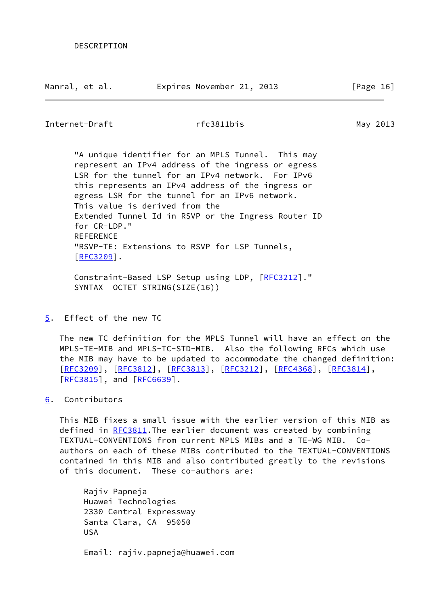<span id="page-18-1"></span>Internet-Draft rfc3811bis May 2013

 "A unique identifier for an MPLS Tunnel. This may represent an IPv4 address of the ingress or egress LSR for the tunnel for an IPv4 network. For IPv6 this represents an IPv4 address of the ingress or egress LSR for the tunnel for an IPv6 network. This value is derived from the Extended Tunnel Id in RSVP or the Ingress Router ID for CR-LDP." **REFERENCE**  "RSVP-TE: Extensions to RSVP for LSP Tunnels, [[RFC3209\]](https://datatracker.ietf.org/doc/pdf/rfc3209).

 Constraint-Based LSP Setup using LDP, [\[RFC3212](https://datatracker.ietf.org/doc/pdf/rfc3212)]." SYNTAX OCTET STRING(SIZE(16))

<span id="page-18-0"></span>[5](#page-18-0). Effect of the new TC

 The new TC definition for the MPLS Tunnel will have an effect on the MPLS-TE-MIB and MPLS-TC-STD-MIB. Also the following RFCs which use the MIB may have to be updated to accommodate the changed definition: [\[RFC3209](https://datatracker.ietf.org/doc/pdf/rfc3209)], [[RFC3812\]](https://datatracker.ietf.org/doc/pdf/rfc3812), [[RFC3813](https://datatracker.ietf.org/doc/pdf/rfc3813)], [\[RFC3212](https://datatracker.ietf.org/doc/pdf/rfc3212)], [\[RFC4368](https://datatracker.ietf.org/doc/pdf/rfc4368)], [\[RFC3814](https://datatracker.ietf.org/doc/pdf/rfc3814)], [\[RFC3815](https://datatracker.ietf.org/doc/pdf/rfc3815)], and [\[RFC6639](https://datatracker.ietf.org/doc/pdf/rfc6639)].

# <span id="page-18-2"></span>[6](#page-18-2). Contributors

 This MIB fixes a small issue with the earlier version of this MIB as defined in [RFC3811](https://datatracker.ietf.org/doc/pdf/rfc3811)</u>. The earlier document was created by combining TEXTUAL-CONVENTIONS from current MPLS MIBs and a TE-WG MIB. Co authors on each of these MIBs contributed to the TEXTUAL-CONVENTIONS contained in this MIB and also contributed greatly to the revisions of this document. These co-authors are:

 Rajiv Papneja Huawei Technologies 2330 Central Expressway Santa Clara, CA 95050 USA Email: rajiv.papneja@huawei.com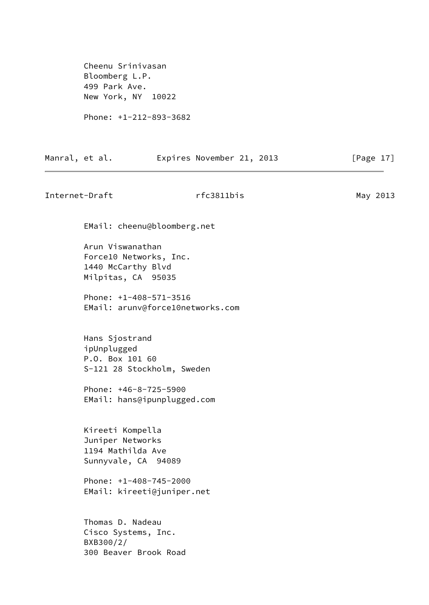Cheenu Srinivasan Bloomberg L.P. 499 Park Ave. New York, NY 10022

Phone: +1-212-893-3682

| Manral, et al. | Expires November 21, 2013 |  | [Page $17$ ] |  |
|----------------|---------------------------|--|--------------|--|
|                |                           |  |              |  |

Internet-Draft rfc3811bis May 2013 EMail: cheenu@bloomberg.net Arun Viswanathan Force10 Networks, Inc. 1440 McCarthy Blvd Milpitas, CA 95035

> Phone: +1-408-571-3516 EMail: arunv@force10networks.com

 Hans Sjostrand ipUnplugged P.O. Box 101 60 S-121 28 Stockholm, Sweden

 Phone: +46-8-725-5900 EMail: hans@ipunplugged.com

 Kireeti Kompella Juniper Networks 1194 Mathilda Ave Sunnyvale, CA 94089

 Phone: +1-408-745-2000 EMail: kireeti@juniper.net

 Thomas D. Nadeau Cisco Systems, Inc. BXB300/2/ 300 Beaver Brook Road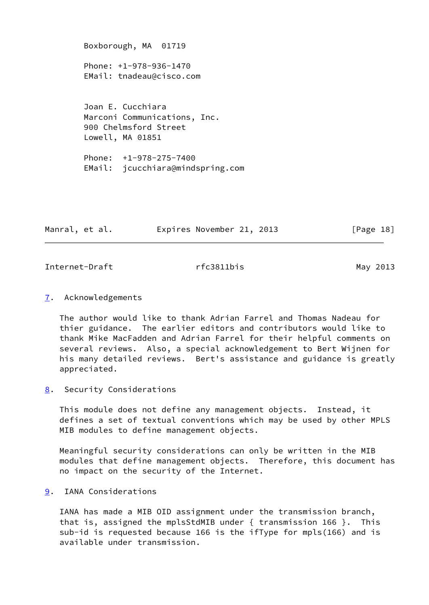Boxborough, MA 01719 Phone: +1-978-936-1470 EMail: tnadeau@cisco.com Joan E. Cucchiara Marconi Communications, Inc. 900 Chelmsford Street Lowell, MA 01851 Phone: +1-978-275-7400 EMail: jcucchiara@mindspring.com

| Manral, et al. | Expires November 21, 2013 | [Page 18] |
|----------------|---------------------------|-----------|
|----------------|---------------------------|-----------|

<span id="page-20-1"></span>Internet-Draft rfc3811bis May 2013

### <span id="page-20-0"></span>[7](#page-20-0). Acknowledgements

 The author would like to thank Adrian Farrel and Thomas Nadeau for thier guidance. The earlier editors and contributors would like to thank Mike MacFadden and Adrian Farrel for their helpful comments on several reviews. Also, a special acknowledgement to Bert Wijnen for his many detailed reviews. Bert's assistance and guidance is greatly appreciated.

<span id="page-20-2"></span>[8](#page-20-2). Security Considerations

 This module does not define any management objects. Instead, it defines a set of textual conventions which may be used by other MPLS MIB modules to define management objects.

 Meaningful security considerations can only be written in the MIB modules that define management objects. Therefore, this document has no impact on the security of the Internet.

<span id="page-20-3"></span>[9](#page-20-3). IANA Considerations

 IANA has made a MIB OID assignment under the transmission branch, that is, assigned the mplsStdMIB under { transmission 166 }. This sub-id is requested because 166 is the ifType for mpls(166) and is available under transmission.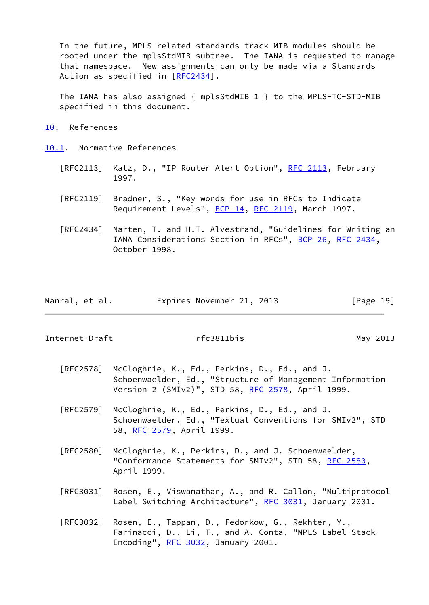In the future, MPLS related standards track MIB modules should be rooted under the mplsStdMIB subtree. The IANA is requested to manage that namespace. New assignments can only be made via a Standards Action as specified in [\[RFC2434](https://datatracker.ietf.org/doc/pdf/rfc2434)].

 The IANA has also assigned { mplsStdMIB 1 } to the MPLS-TC-STD-MIB specified in this document.

<span id="page-21-0"></span>[10.](#page-21-0) References

<span id="page-21-1"></span>[10.1](#page-21-1). Normative References

- [RFC2113] Katz, D., "IP Router Alert Option", [RFC 2113,](https://datatracker.ietf.org/doc/pdf/rfc2113) February 1997.
- [RFC2119] Bradner, S., "Key words for use in RFCs to Indicate Requirement Levels", [BCP 14](https://datatracker.ietf.org/doc/pdf/bcp14), [RFC 2119](https://datatracker.ietf.org/doc/pdf/rfc2119), March 1997.
- [RFC2434] Narten, T. and H.T. Alvestrand, "Guidelines for Writing an IANA Considerations Section in RFCs", [BCP 26](https://datatracker.ietf.org/doc/pdf/bcp26), [RFC 2434](https://datatracker.ietf.org/doc/pdf/rfc2434), October 1998.

|  | Manral, et al. | Expires November 21, 2013 | [Page 19] |
|--|----------------|---------------------------|-----------|
|--|----------------|---------------------------|-----------|

Internet-Draft rfc3811bis May 2013

- [RFC2578] McCloghrie, K., Ed., Perkins, D., Ed., and J. Schoenwaelder, Ed., "Structure of Management Information Version 2 (SMIv2)", STD 58, [RFC 2578,](https://datatracker.ietf.org/doc/pdf/rfc2578) April 1999.
- [RFC2579] McCloghrie, K., Ed., Perkins, D., Ed., and J. Schoenwaelder, Ed., "Textual Conventions for SMIv2", STD 58, [RFC 2579,](https://datatracker.ietf.org/doc/pdf/rfc2579) April 1999.
- [RFC2580] McCloghrie, K., Perkins, D., and J. Schoenwaelder, "Conformance Statements for SMIv2", STD 58, [RFC 2580,](https://datatracker.ietf.org/doc/pdf/rfc2580) April 1999.
- [RFC3031] Rosen, E., Viswanathan, A., and R. Callon, "Multiprotocol Label Switching Architecture", [RFC 3031](https://datatracker.ietf.org/doc/pdf/rfc3031), January 2001.
- [RFC3032] Rosen, E., Tappan, D., Fedorkow, G., Rekhter, Y., Farinacci, D., Li, T., and A. Conta, "MPLS Label Stack Encoding", [RFC 3032](https://datatracker.ietf.org/doc/pdf/rfc3032), January 2001.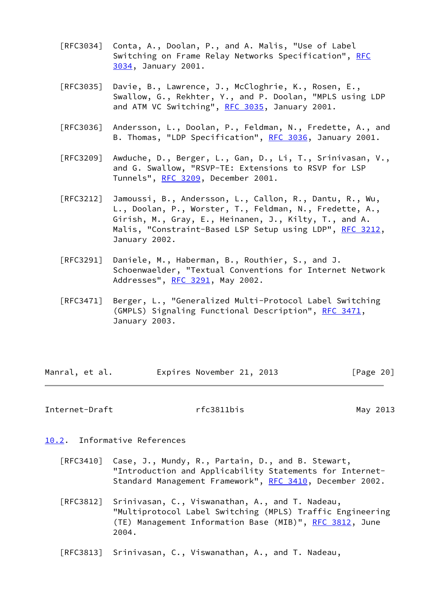- [RFC3034] Conta, A., Doolan, P., and A. Malis, "Use of Label Switching on Frame Relay Networks Specification", [RFC](https://datatracker.ietf.org/doc/pdf/rfc3034) [3034,](https://datatracker.ietf.org/doc/pdf/rfc3034) January 2001.
- [RFC3035] Davie, B., Lawrence, J., McCloghrie, K., Rosen, E., Swallow, G., Rekhter, Y., and P. Doolan, "MPLS using LDP and ATM VC Switching", [RFC 3035](https://datatracker.ietf.org/doc/pdf/rfc3035), January 2001.
- [RFC3036] Andersson, L., Doolan, P., Feldman, N., Fredette, A., and B. Thomas, "LDP Specification", [RFC 3036,](https://datatracker.ietf.org/doc/pdf/rfc3036) January 2001.
- [RFC3209] Awduche, D., Berger, L., Gan, D., Li, T., Srinivasan, V., and G. Swallow, "RSVP-TE: Extensions to RSVP for LSP Tunnels", [RFC 3209](https://datatracker.ietf.org/doc/pdf/rfc3209), December 2001.
- [RFC3212] Jamoussi, B., Andersson, L., Callon, R., Dantu, R., Wu, L., Doolan, P., Worster, T., Feldman, N., Fredette, A., Girish, M., Gray, E., Heinanen, J., Kilty, T., and A. Malis, "Constraint-Based LSP Setup using LDP", [RFC 3212](https://datatracker.ietf.org/doc/pdf/rfc3212), January 2002.
- [RFC3291] Daniele, M., Haberman, B., Routhier, S., and J. Schoenwaelder, "Textual Conventions for Internet Network Addresses", [RFC 3291,](https://datatracker.ietf.org/doc/pdf/rfc3291) May 2002.
- [RFC3471] Berger, L., "Generalized Multi-Protocol Label Switching (GMPLS) Signaling Functional Description", [RFC 3471](https://datatracker.ietf.org/doc/pdf/rfc3471), January 2003.

| Manral, et al. | Expires November 21, 2013 |  | [Page 20] |
|----------------|---------------------------|--|-----------|
|                |                           |  |           |

<span id="page-22-1"></span>Internet-Draft rfc3811bis May 2013

- <span id="page-22-0"></span>[10.2](#page-22-0). Informative References
	- [RFC3410] Case, J., Mundy, R., Partain, D., and B. Stewart, "Introduction and Applicability Statements for Internet- Standard Management Framework", [RFC 3410,](https://datatracker.ietf.org/doc/pdf/rfc3410) December 2002.
	- [RFC3812] Srinivasan, C., Viswanathan, A., and T. Nadeau, "Multiprotocol Label Switching (MPLS) Traffic Engineering (TE) Management Information Base (MIB)", [RFC 3812,](https://datatracker.ietf.org/doc/pdf/rfc3812) June 2004.
	- [RFC3813] Srinivasan, C., Viswanathan, A., and T. Nadeau,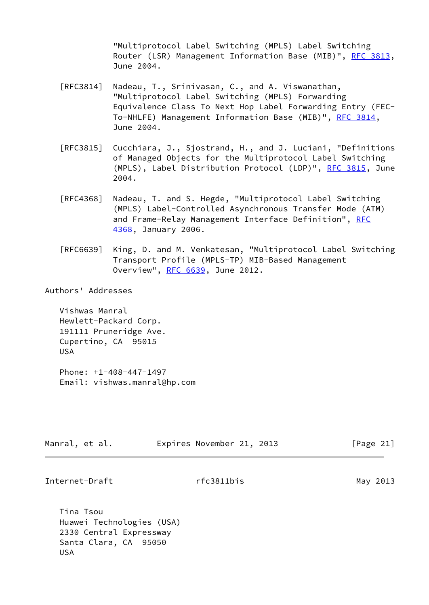"Multiprotocol Label Switching (MPLS) Label Switching Router (LSR) Management Information Base (MIB)", [RFC 3813,](https://datatracker.ietf.org/doc/pdf/rfc3813) June 2004.

- [RFC3814] Nadeau, T., Srinivasan, C., and A. Viswanathan, "Multiprotocol Label Switching (MPLS) Forwarding Equivalence Class To Next Hop Label Forwarding Entry (FEC- To-NHLFE) Management Information Base (MIB)", [RFC 3814](https://datatracker.ietf.org/doc/pdf/rfc3814), June 2004.
- [RFC3815] Cucchiara, J., Sjostrand, H., and J. Luciani, "Definitions of Managed Objects for the Multiprotocol Label Switching (MPLS), Label Distribution Protocol (LDP)", [RFC 3815,](https://datatracker.ietf.org/doc/pdf/rfc3815) June 2004.
- [RFC4368] Nadeau, T. and S. Hegde, "Multiprotocol Label Switching (MPLS) Label-Controlled Asynchronous Transfer Mode (ATM) and Frame-Relay Management Interface Definition", [RFC](https://datatracker.ietf.org/doc/pdf/rfc4368) [4368,](https://datatracker.ietf.org/doc/pdf/rfc4368) January 2006.
- [RFC6639] King, D. and M. Venkatesan, "Multiprotocol Label Switching Transport Profile (MPLS-TP) MIB-Based Management Overview", [RFC 6639](https://datatracker.ietf.org/doc/pdf/rfc6639), June 2012.

Authors' Addresses

 Vishwas Manral Hewlett-Packard Corp. 191111 Pruneridge Ave. Cupertino, CA 95015 USA

 Phone: +1-408-447-1497 Email: vishwas.manral@hp.com

| Expires November 21, 2013<br>[Page 21]<br>Manral, et al. |  |
|----------------------------------------------------------|--|
|----------------------------------------------------------|--|

Internet-Draft rfc3811bis May 2013

 Tina Tsou Huawei Technologies (USA) 2330 Central Expressway Santa Clara, CA 95050 USA